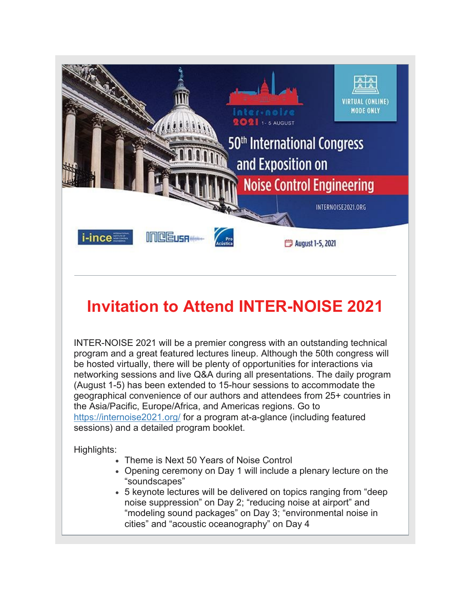

## **Invitation to Attend INTER-NOISE 2021**

INTER-NOISE 2021 will be a premier congress with an outstanding technical program and a great featured lectures lineup. Although the 50th congress will be hosted virtually, there will be plenty of opportunities for interactions via networking sessions and live Q&A during all presentations. The daily program (August 1-5) has been extended to 15-hour sessions to accommodate the geographical convenience of our authors and attendees from 25+ countries in the Asia/Pacific, Europe/Africa, and Americas regions. Go to [https://internoise2021.org/](https://urldefense.com/v3/__https:/internoise2021.org/__;!!KGKeukY!lgQcNKIOx-nwUD_RZL1Lu9dPV2ILFfw0c9V2ojgYoS9YjNfrgDkzZGZKPVaY19o$) for a program at-a-glance (including featured sessions) and a detailed program booklet.

Highlights:

- Theme is Next 50 Years of Noise Control
- Opening ceremony on Day 1 will include a plenary lecture on the "soundscapes"
- 5 keynote lectures will be delivered on topics ranging from "deep noise suppression" on Day 2; "reducing noise at airport" and "modeling sound packages" on Day 3; "environmental noise in cities" and "acoustic oceanography" on Day 4